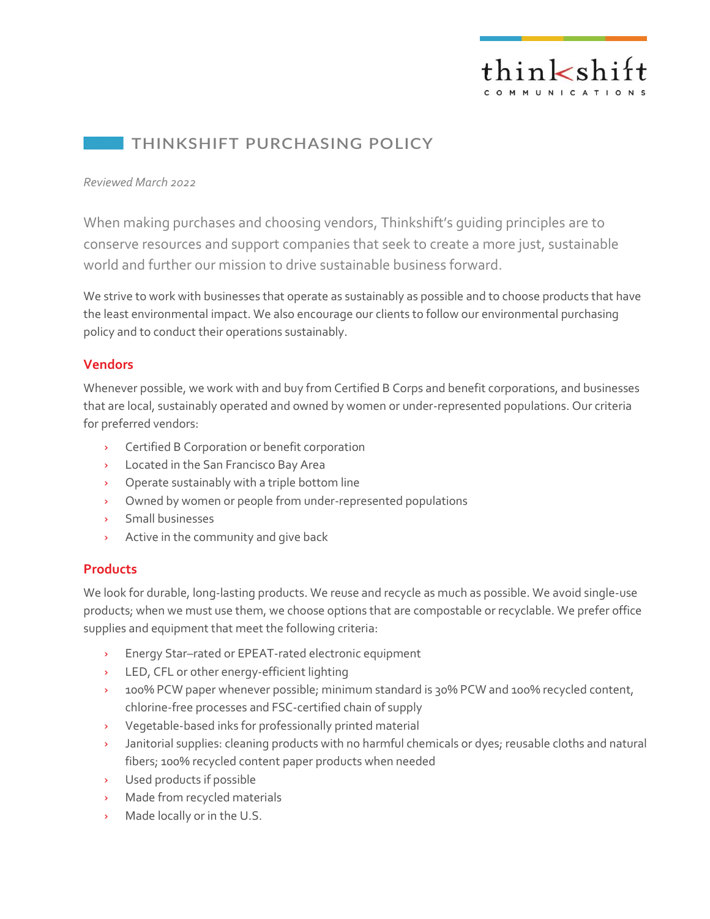

## **THINKSHIFT PURCHASING POLICY**

#### *Reviewed March 2022*

When making purchases and choosing vendors, Thinkshift's guiding principles are to conserve resources and support companies that seek to create a more just, sustainable world and further our mission to drive sustainable business forward.

We strive to work with businesses that operate as sustainably as possible and to choose products that have the least environmental impact. We also encourage our clients to follow our environmental purchasing policy and to conduct their operations sustainably.

#### **Vendors**

Whenever possible, we work with and buy from Certified B Corps and benefit corporations, and businesses that are local, sustainably operated and owned by women or under-represented populations. Our criteria for preferred vendors:

- Certified B Corporation or benefit corporation
- > Located in the San Francisco Bay Area
- Operate sustainably with a triple bottom line
- Owned by women or people from under-represented populations
- > Small businesses
- > Active in the community and give back

### **Products**

We look for durable, long-lasting products. We reuse and recycle as much as possible. We avoid single-use products; when we must use them, we choose options that are compostable or recyclable. We prefer office supplies and equipment that meet the following criteria:

- Energy Star–rated or EPEAT-rated electronic equipment
- > LED, CFL or other energy-efficient lighting
- <sup>2</sup> 100% PCW paper whenever possible; minimum standard is 30% PCW and 100% recycled content, chlorine-free processes and FSC-certified chain of supply
- Vegetable-based inks for professionally printed material
- Janitorial supplies: cleaning products with no harmful chemicals or dyes; reusable cloths and natural  $\mathbf{y}^{\top}$ fibers; 100% recycled content paper products when needed
- Used products if possible
- Made from recycled materials
- Made locally or in the U.S. $\mathbf{S}^{\mathcal{A}}$